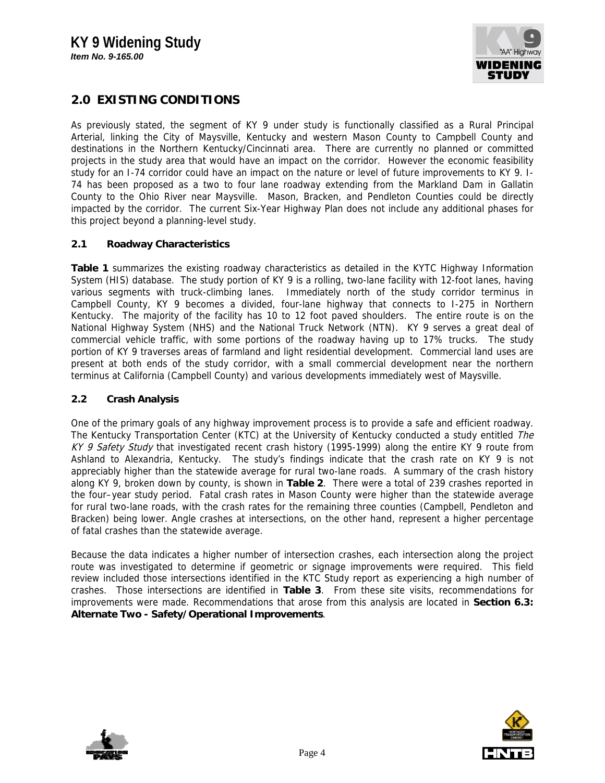

# **2.0 EXISTING CONDITIONS**

As previously stated, the segment of KY 9 under study is functionally classified as a Rural Principal Arterial, linking the City of Maysville, Kentucky and western Mason County to Campbell County and destinations in the Northern Kentucky/Cincinnati area. There are currently no planned or committed projects in the study area that would have an impact on the corridor. However the economic feasibility study for an I-74 corridor could have an impact on the nature or level of future improvements to KY 9. I-74 has been proposed as a two to four lane roadway extending from the Markland Dam in Gallatin County to the Ohio River near Maysville. Mason, Bracken, and Pendleton Counties could be directly impacted by the corridor. The current Six-Year Highway Plan does not include any additional phases for this project beyond a planning-level study.

### **2.1 Roadway Characteristics**

**Table 1** summarizes the existing roadway characteristics as detailed in the KYTC Highway Information System (HIS) database. The study portion of KY 9 is a rolling, two-lane facility with 12-foot lanes, having various segments with truck-climbing lanes. Immediately north of the study corridor terminus in Campbell County, KY 9 becomes a divided, four-lane highway that connects to I-275 in Northern Kentucky. The majority of the facility has 10 to 12 foot paved shoulders. The entire route is on the National Highway System (NHS) and the National Truck Network (NTN). KY 9 serves a great deal of commercial vehicle traffic, with some portions of the roadway having up to 17% trucks. The study portion of KY 9 traverses areas of farmland and light residential development. Commercial land uses are present at both ends of the study corridor, with a small commercial development near the northern terminus at California (Campbell County) and various developments immediately west of Maysville.

### **2.2 Crash Analysis**

One of the primary goals of any highway improvement process is to provide a safe and efficient roadway. The Kentucky Transportation Center (KTC) at the University of Kentucky conducted a study entitled The KY 9 Safety Study that investigated recent crash history (1995-1999) along the entire KY 9 route from Ashland to Alexandria, Kentucky. The study's findings indicate that the crash rate on KY 9 is not appreciably higher than the statewide average for rural two-lane roads. A summary of the crash history along KY 9, broken down by county, is shown in **Table 2**. There were a total of 239 crashes reported in the four–year study period. Fatal crash rates in Mason County were higher than the statewide average for rural two-lane roads, with the crash rates for the remaining three counties (Campbell, Pendleton and Bracken) being lower. Angle crashes at intersections, on the other hand, represent a higher percentage of fatal crashes than the statewide average.

Because the data indicates a higher number of intersection crashes, each intersection along the project route was investigated to determine if geometric or signage improvements were required. This field review included those intersections identified in the KTC Study report as experiencing a high number of crashes. Those intersections are identified in **Table 3**. From these site visits, recommendations for improvements were made. Recommendations that arose from this analysis are located in **Section 6.3: Alternate Two - Safety/Operational Improvements**.



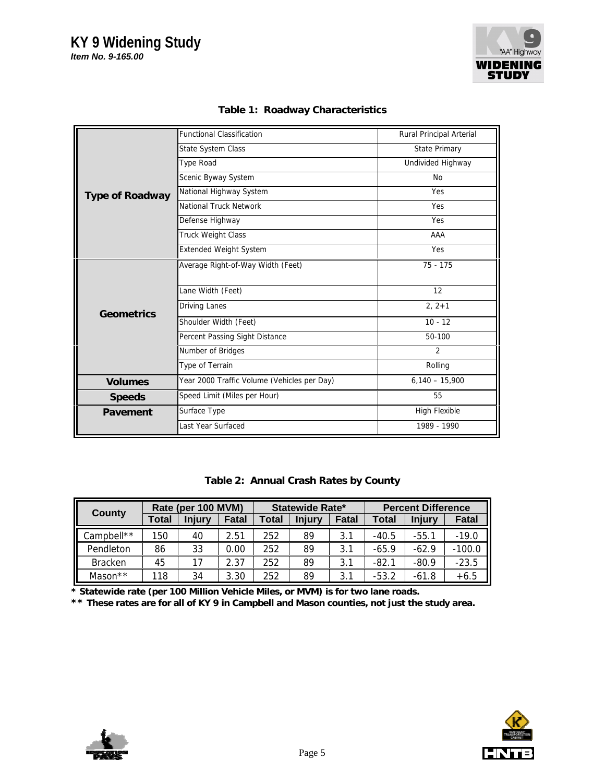

|                        | <b>Functional Classification</b>            | Rural Principal Arterial |  |  |  |
|------------------------|---------------------------------------------|--------------------------|--|--|--|
|                        | State System Class                          | <b>State Primary</b>     |  |  |  |
|                        | <b>Type Road</b>                            | Undivided Highway        |  |  |  |
|                        | Scenic Byway System                         | <b>No</b>                |  |  |  |
| <b>Type of Roadway</b> | National Highway System                     | Yes                      |  |  |  |
|                        | National Truck Network                      | Yes                      |  |  |  |
|                        | Defense Highway                             | Yes                      |  |  |  |
|                        | Truck Weight Class                          | AAA                      |  |  |  |
|                        | <b>Extended Weight System</b>               | Yes                      |  |  |  |
|                        | Average Right-of-Way Width (Feet)           | $75 - 175$               |  |  |  |
|                        | Lane Width (Feet)                           | 12                       |  |  |  |
| Geometrics             | Driving Lanes                               | $2, 2+1$                 |  |  |  |
|                        | Shoulder Width (Feet)                       | $10 - 12$                |  |  |  |
|                        | Percent Passing Sight Distance              | 50-100                   |  |  |  |
|                        | Number of Bridges                           | $\overline{2}$           |  |  |  |
|                        | Type of Terrain                             | Rolling                  |  |  |  |
| <b>Volumes</b>         | Year 2000 Traffic Volume (Vehicles per Day) | $6,140 - 15,900$         |  |  |  |
| <b>Speeds</b>          | Speed Limit (Miles per Hour)                | 55                       |  |  |  |
| Pavement               | Surface Type                                | High Flexible            |  |  |  |
|                        | Last Year Surfaced                          | 1989 - 1990              |  |  |  |

**Table 1: Roadway Characteristics**

|  | Table 2: Annual Crash Rates by County |
|--|---------------------------------------|
|--|---------------------------------------|

| County         | Rate (per 100 MVM) |               |       | <b>Statewide Rate*</b> |               |       | <b>Percent Difference</b> |               |              |
|----------------|--------------------|---------------|-------|------------------------|---------------|-------|---------------------------|---------------|--------------|
|                | Total              | <b>Injury</b> | Fatal | <b>Total</b>           | <b>Injury</b> | Fatal | Total                     | <b>Injury</b> | <b>Fatal</b> |
| Campbell**     | 150                | 40            | 2.51  | 252                    | 89            | 3.1   | $-40.5$                   | $-55.1$       | $-19.0$      |
| Pendleton      | 86                 | 33            | 0.00  | 252                    | 89            | 3.1   | $-65.9$                   | $-62.9$       | $-100.0$     |
| <b>Bracken</b> | 45                 | 17            | 2.37  | 252                    | 89            | 3.1   | $-82.1$                   | $-80.9$       | $-23.5$      |
| Mason**        | 118                | 34            | 3.30  | 252                    | 89            | 3.1   | $-53.2$                   | $-61.8$       | $+6.5$       |

**\* Statewide rate (per 100 Million Vehicle Miles, or MVM) is for two lane roads.**

**\*\* These rates are for all of KY 9 in Campbell and Mason counties, not just the study area.**



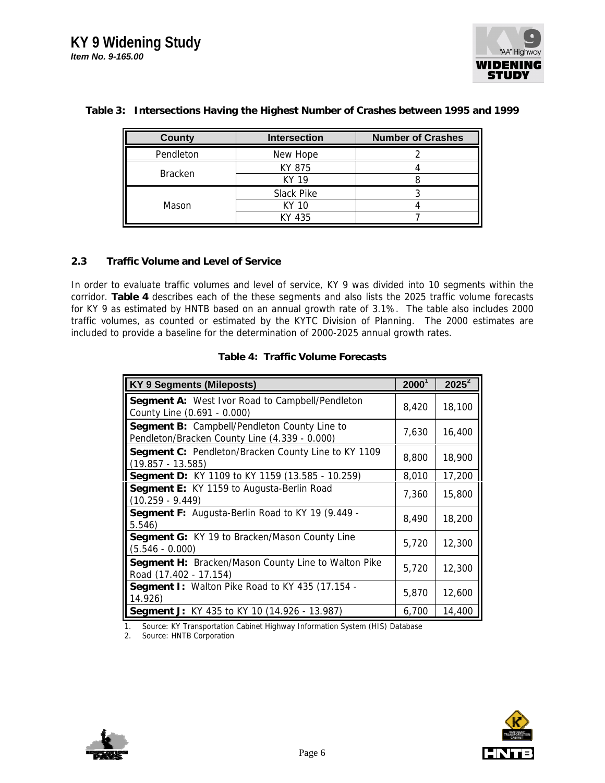

| County         | <b>Intersection</b> | <b>Number of Crashes</b> |  |  |
|----------------|---------------------|--------------------------|--|--|
| Pendleton      | New Hope            |                          |  |  |
|                | KY 875              |                          |  |  |
| <b>Bracken</b> | KY 19               |                          |  |  |
|                | Slack Pike          |                          |  |  |
| Mason          | KY 10               |                          |  |  |
|                | KY 435              |                          |  |  |

#### **Table 3: Intersections Having the Highest Number of Crashes between 1995 and 1999**

### **2.3 Traffic Volume and Level of Service**

In order to evaluate traffic volumes and level of service, KY 9 was divided into 10 segments within the corridor. **Table 4** describes each of the these segments and also lists the 2025 traffic volume forecasts for KY 9 as estimated by HNTB based on an annual growth rate of 3.1%. The table also includes 2000 traffic volumes, as counted or estimated by the KYTC Division of Planning. The 2000 estimates are included to provide a baseline for the determination of 2000-2025 annual growth rates.

| <b>KY 9 Segments (Mileposts)</b>                                                              | $2000^1$ | $2025^2$ |
|-----------------------------------------------------------------------------------------------|----------|----------|
| <b>Segment A: West Ivor Road to Campbell/Pendleton</b><br>County Line (0.691 - 0.000)         | 8,420    | 18,100   |
| Segment B: Campbell/Pendleton County Line to<br>Pendleton/Bracken County Line (4.339 - 0.000) | 7,630    | 16,400   |
| Segment C: Pendleton/Bracken County Line to KY 1109<br>$(19.857 - 13.585)$                    | 8,800    | 18,900   |
| Segment D: KY 1109 to KY 1159 (13.585 - 10.259)                                               | 8,010    | 17,200   |
| Segment E: KY 1159 to Augusta-Berlin Road<br>$(10.259 - 9.449)$                               | 7,360    | 15,800   |
| Segment F: Augusta-Berlin Road to KY 19 (9.449 -<br>5.546                                     | 8,490    | 18,200   |
| Segment G: KY 19 to Bracken/Mason County Line<br>$(5.546 - 0.000)$                            | 5,720    | 12,300   |
| Segment H: Bracken/Mason County Line to Walton Pike<br>Road (17.402 - 17.154)                 | 5,720    | 12,300   |
| <b>Segment I: Walton Pike Road to KY 435 (17.154 -</b><br>14.926)                             | 5,870    | 12,600   |
| Segment J: KY 435 to KY 10 (14.926 - 13.987)                                                  | 6,700    | 14,400   |

#### **Table 4: Traffic Volume Forecasts**

1. Source: KY Transportation Cabinet Highway Information System (HIS) Database

2. Source: HNTB Corporation



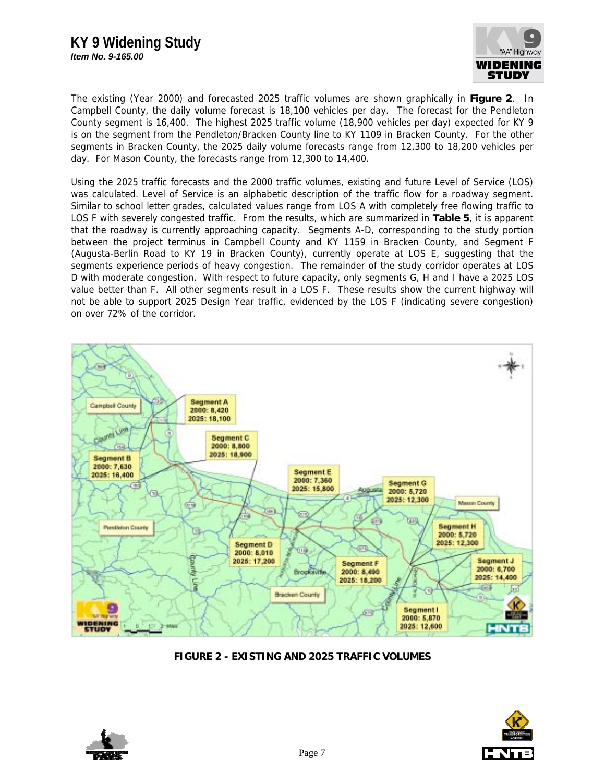# **KY 9 Widening Study**





The existing (Year 2000) and forecasted 2025 traffic volumes are shown graphically in **Figure 2**. In Campbell County, the daily volume forecast is 18,100 vehicles per day. The forecast for the Pendleton County segment is 16,400. The highest 2025 traffic volume (18,900 vehicles per day) expected for KY 9 is on the segment from the Pendleton/Bracken County line to KY 1109 in Bracken County. For the other segments in Bracken County, the 2025 daily volume forecasts range from 12,300 to 18,200 vehicles per day. For Mason County, the forecasts range from 12,300 to 14,400.

Using the 2025 traffic forecasts and the 2000 traffic volumes, existing and future Level of Service (LOS) was calculated. Level of Service is an alphabetic description of the traffic flow for a roadway segment. Similar to school letter grades, calculated values range from LOS A with completely free flowing traffic to LOS F with severely congested traffic. From the results, which are summarized in **Table 5**, it is apparent that the roadway is currently approaching capacity. Segments A-D, corresponding to the study portion between the project terminus in Campbell County and KY 1159 in Bracken County, and Segment F (Augusta-Berlin Road to KY 19 in Bracken County), currently operate at LOS E, suggesting that the segments experience periods of heavy congestion. The remainder of the study corridor operates at LOS D with moderate congestion. With respect to future capacity, only segments G, H and I have a 2025 LOS value better than F. All other segments result in a LOS F. These results show the current highway will not be able to support 2025 Design Year traffic, evidenced by the LOS F (indicating severe congestion) on over 72% of the corridor.



**FIGURE 2 - EXISTING AND 2025 TRAFFIC VOLUMES**



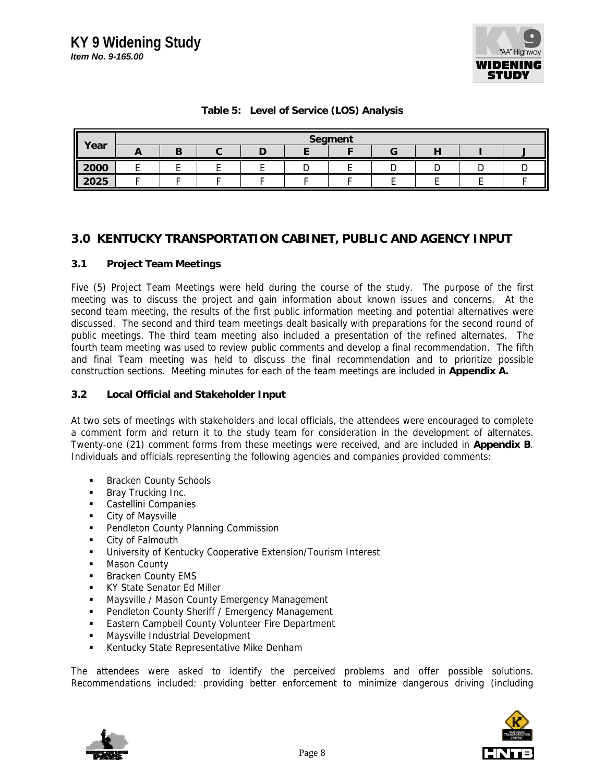

## **Table 5: Level of Service (LOS) Analysis**

| Year |     |  | Segment |  |  |
|------|-----|--|---------|--|--|
|      | . . |  |         |  |  |
| 2000 |     |  |         |  |  |
| 2025 |     |  |         |  |  |

# **3.0 KENTUCKY TRANSPORTATION CABINET, PUBLIC AND AGENCY INPUT**

### **3.1 Project Team Meetings**

Five (5) Project Team Meetings were held during the course of the study. The purpose of the first meeting was to discuss the project and gain information about known issues and concerns. At the second team meeting, the results of the first public information meeting and potential alternatives were discussed. The second and third team meetings dealt basically with preparations for the second round of public meetings. The third team meeting also included a presentation of the refined alternates. The fourth team meeting was used to review public comments and develop a final recommendation. The fifth and final Team meeting was held to discuss the final recommendation and to prioritize possible construction sections. Meeting minutes for each of the team meetings are included in **Appendix A.**

#### **3.2 Local Official and Stakeholder Input**

At two sets of meetings with stakeholders and local officials, the attendees were encouraged to complete a comment form and return it to the study team for consideration in the development of alternates. Twenty-one (21) comment forms from these meetings were received, and are included in **Appendix B**. Individuals and officials representing the following agencies and companies provided comments:

- Bracken County Schools
- **Bray Trucking Inc.**
- **Castellini Companies**
- **City of Maysville**
- **Pendleton County Planning Commission**
- City of Falmouth
- **University of Kentucky Cooperative Extension/Tourism Interest**
- **Mason County**
- **Bracken County EMS**
- **KY State Senator Ed Miller**
- **Maysville / Mason County Emergency Management**
- **Pendleton County Sheriff / Emergency Management**
- **Eastern Campbell County Volunteer Fire Department**
- **Maysville Industrial Development**
- **Kentucky State Representative Mike Denham**

The attendees were asked to identify the perceived problems and offer possible solutions. Recommendations included: providing better enforcement to minimize dangerous driving (including



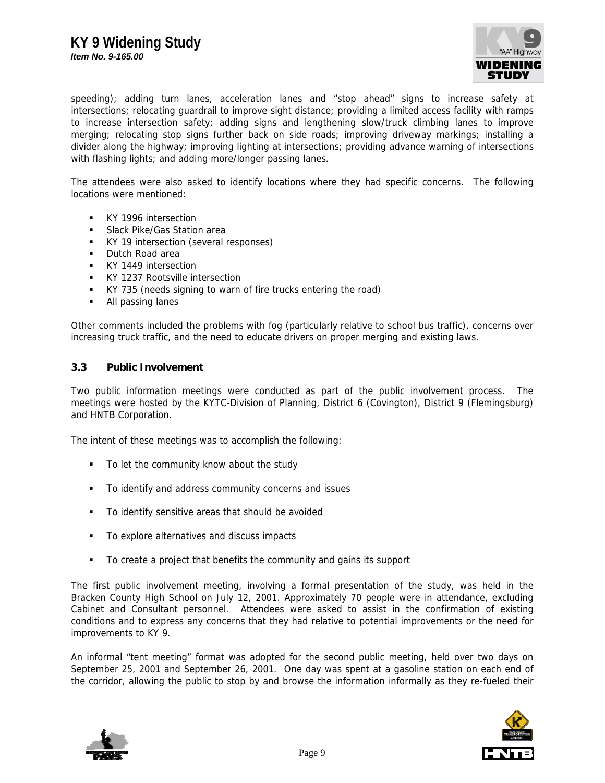

speeding); adding turn lanes, acceleration lanes and "stop ahead" signs to increase safety at intersections; relocating guardrail to improve sight distance; providing a limited access facility with ramps to increase intersection safety; adding signs and lengthening slow/truck climbing lanes to improve merging; relocating stop signs further back on side roads; improving driveway markings; installing a divider along the highway; improving lighting at intersections; providing advance warning of intersections with flashing lights; and adding more/longer passing lanes.

The attendees were also asked to identify locations where they had specific concerns. The following locations were mentioned:

- **KY 1996 intersection**
- Slack Pike/Gas Station area
- KY 19 intersection (several responses)
- **Dutch Road area**
- **KY 1449 intersection**
- **KY 1237 Rootsville intersection**
- KY 735 (needs signing to warn of fire trucks entering the road)
- All passing lanes

Other comments included the problems with fog (particularly relative to school bus traffic), concerns over increasing truck traffic, and the need to educate drivers on proper merging and existing laws.

#### **3.3 Public Involvement**

Two public information meetings were conducted as part of the public involvement process. The meetings were hosted by the KYTC-Division of Planning, District 6 (Covington), District 9 (Flemingsburg) and HNTB Corporation.

The intent of these meetings was to accomplish the following:

- To let the community know about the study
- $\blacksquare$  To identify and address community concerns and issues
- To identify sensitive areas that should be avoided
- To explore alternatives and discuss impacts
- To create a project that benefits the community and gains its support

The first public involvement meeting, involving a formal presentation of the study, was held in the Bracken County High School on July 12, 2001. Approximately 70 people were in attendance, excluding Cabinet and Consultant personnel. Attendees were asked to assist in the confirmation of existing conditions and to express any concerns that they had relative to potential improvements or the need for improvements to KY 9.

An informal "tent meeting" format was adopted for the second public meeting, held over two days on September 25, 2001 and September 26, 2001. One day was spent at a gasoline station on each end of the corridor, allowing the public to stop by and browse the information informally as they re-fueled their